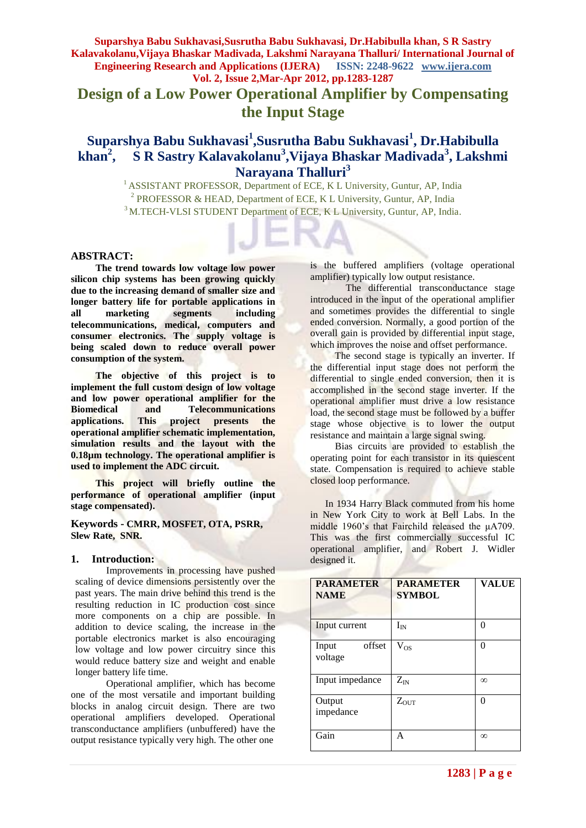**Design of a Low Power Operational Amplifier by Compensating the Input Stage**

### $\boldsymbol{\mathrm{Supars}}$ hya Babu Sukhavasi<sup>1</sup>,Susrutha Babu Sukhavasi<sup>1</sup>, Dr.Habibulla  $khan<sup>2</sup>$ **, S R Sastry Kalavakolanu<sup>3</sup>, Vijaya Bhaskar Madivada<sup>3</sup>, Lakshmi Narayana Thalluri<sup>3</sup>**

<sup>1</sup> ASSISTANT PROFESSOR, Department of ECE, K L University, Guntur, AP, India <sup>2</sup> PROFESSOR & HEAD, Department of ECE, K L University, Guntur, AP, India <sup>3</sup>M.TECH-VLSI STUDENT Department of ECE, K L University, Guntur, AP, India.

### **ABSTRACT:**

 **The trend towards low voltage low power silicon chip systems has been growing quickly due to the increasing demand of smaller size and longer battery life for portable applications in all marketing segments including all marketing** segments including **telecommunications, medical, computers and consumer electronics. The supply voltage is being scaled down to reduce overall power consumption of the system.**

 **The objective of this project is to implement the full custom design of low voltage and low power operational amplifier for the Biomedical and Telecommunications applications. This project presents the operational amplifier schematic implementation, simulation results and the layout with the 0.18µm technology. The operational amplifier is used to implement the ADC circuit.**

 **This project will briefly outline the performance of operational amplifier (input stage compensated).**

**Keywords - CMRR, MOSFET, OTA, PSRR, Slew Rate, SNR.**

### **1. Introduction:**

Improvements in processing have pushed scaling of device dimensions persistently over the past years. The main drive behind this trend is the resulting reduction in IC production cost since more components on a chip are possible. In addition to device scaling, the increase in the portable electronics market is also encouraging low voltage and low power circuitry since this would reduce battery size and weight and enable longer battery life time.

Operational amplifier, which has become one of the most versatile and important building blocks in analog circuit design. There are two operational amplifiers developed. Operational transconductance amplifiers (unbuffered) have the output resistance typically very high. The other one

is the buffered amplifiers (voltage operational amplifier) typically low output resistance.

The differential transconductance stage introduced in the input of the operational amplifier and sometimes provides the differential to single ended conversion. Normally, a good portion of the overall gain is provided by differential input stage, which improves the noise and offset performance.

The second stage is typically an inverter. If the differential input stage does not perform the differential to single ended conversion, then it is accomplished in the second stage inverter. If the operational amplifier must drive a low resistance load, the second stage must be followed by a buffer stage whose objective is to lower the output resistance and maintain a large signal swing.

 Bias circuits are provided to establish the operating point for each transistor in its quiescent state. Compensation is required to achieve stable closed loop performance.

 In 1934 Harry Black commuted from his home in New York City to work at Bell Labs. In the middle 1960's that Fairchild released the μA709. This was the first commercially successful IC operational amplifier, and Robert J. Widler designed it.

| <b>PARAMETER</b><br><b>NAME</b> | <b>PARAMETER</b><br><b>SYMBOL</b> | <b>VALUE</b> |
|---------------------------------|-----------------------------------|--------------|
| Input current                   | $I_{IN}$                          | 0            |
| offset<br>Input<br>voltage      | $V_{OS}$                          | 0            |
| Input impedance                 | $Z_{IN}$                          | $\infty$     |
| Output<br>impedance             | $Z_{OUT}$                         | 0            |
| Gain                            | A                                 | $\infty$     |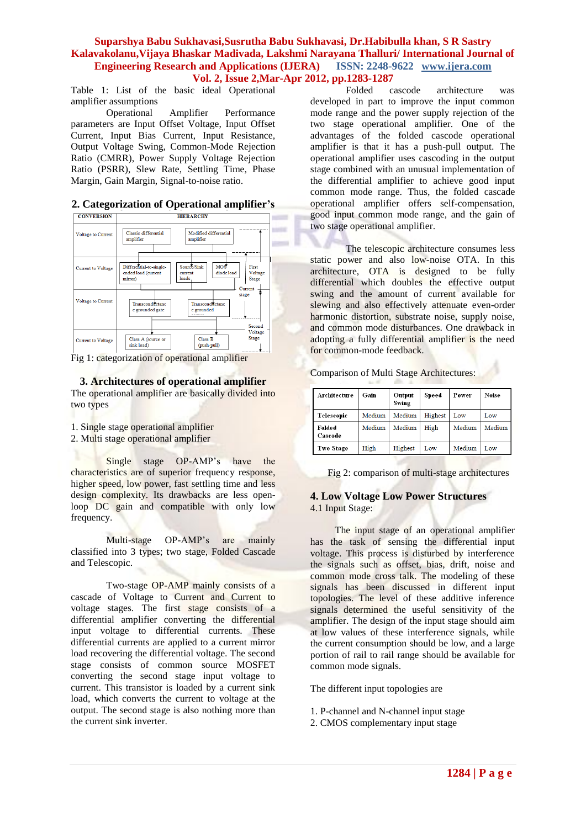Table 1: List of the basic ideal Operational amplifier assumptions

Operational Amplifier Performance parameters are Input Offset Voltage, Input Offset Current, Input Bias Current, Input Resistance, Output Voltage Swing, Common-Mode Rejection Ratio (CMRR), Power Supply Voltage Rejection Ratio (PSRR), Slew Rate, Settling Time, Phase Margin, Gain Margin, Signal-to-noise ratio.

**2. Categorization of Operational amplifier's**



Fig 1: categorization of operational amplifier

**3. Architectures of operational amplifier**

The operational amplifier are basically divided into two types

- 1. Single stage operational amplifier
- 2. Multi stage operational amplifier

Single stage OP-AMP's have the characteristics are of superior frequency response, higher speed, low power, fast settling time and less design complexity. Its drawbacks are less openloop DC gain and compatible with only low frequency.

Multi-stage OP-AMP's are mainly classified into 3 types; two stage, Folded Cascade and Telescopic.

Two-stage OP-AMP mainly consists of a cascade of Voltage to Current and Current to voltage stages. The first stage consists of a differential amplifier converting the differential input voltage to differential currents. These differential currents are applied to a current mirror load recovering the differential voltage. The second stage consists of common source MOSFET converting the second stage input voltage to current. This transistor is loaded by a current sink load, which converts the current to voltage at the output. The second stage is also nothing more than the current sink inverter.

Folded cascode architecture was developed in part to improve the input common mode range and the power supply rejection of the two stage operational amplifier. One of the advantages of the folded cascode operational amplifier is that it has a push-pull output. The operational amplifier uses cascoding in the output stage combined with an unusual implementation of the differential amplifier to achieve good input common mode range. Thus, the folded cascade operational amplifier offers self-compensation, good input common mode range, and the gain of two stage operational amplifier.

The telescopic architecture consumes less static power and also low-noise OTA. In this architecture, OTA is designed to be fully differential which doubles the effective output swing and the amount of current available for slewing and also effectively attenuate even-order harmonic distortion, substrate noise, supply noise, and common mode disturbances. One drawback in adopting a fully differential amplifier is the need for common-mode feedback.

|  | Comparison of Multi Stage Architectures: |
|--|------------------------------------------|
|  |                                          |

| Architecture      | Gain   | Output<br>Swing | Speed   | Power  | Noise  |
|-------------------|--------|-----------------|---------|--------|--------|
| Telescopic        | Medium | Medium          | Highest | Low    | Low    |
| Folded<br>Cascode | Medium | Medium          | High    | Medium | Medium |
| <b>Two Stage</b>  | High   | Highest         | Low     | Medium | Low    |

Fig 2: comparison of multi-stage architectures

# **4. Low Voltage Low Power Structures** 4.1 Input Stage:

 The input stage of an operational amplifier has the task of sensing the differential input voltage. This process is disturbed by interference the signals such as offset, bias, drift, noise and common mode cross talk. The modeling of these signals has been discussed in different input topologies. The level of these additive inference signals determined the useful sensitivity of the amplifier. The design of the input stage should aim at low values of these interference signals, while the current consumption should be low, and a large portion of rail to rail range should be available for common mode signals.

The different input topologies are

- 1. P-channel and N-channel input stage
- 2. CMOS complementary input stage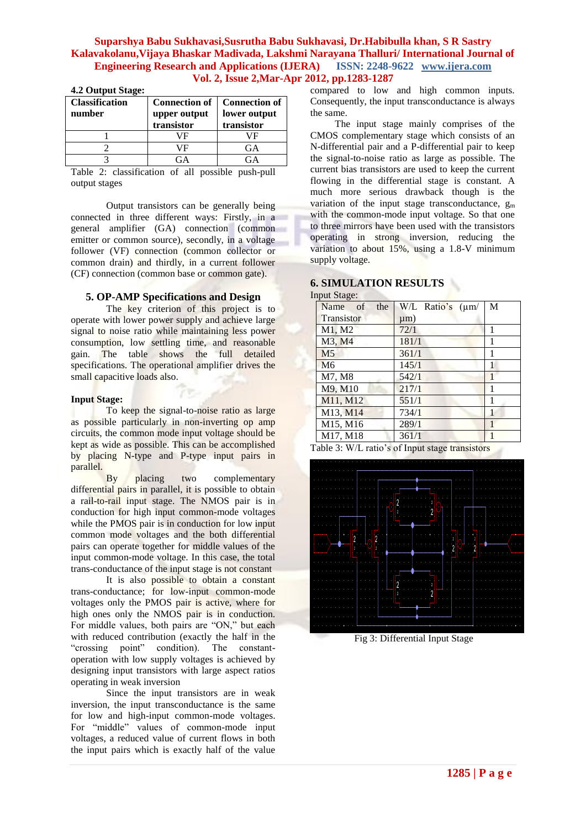| <b>Classification</b><br>number | <b>Connection of</b><br>upper output<br>transistor | <b>Connection of</b><br>lower output<br>transistor |
|---------------------------------|----------------------------------------------------|----------------------------------------------------|
|                                 | ΙF                                                 | /F                                                 |
|                                 | VF                                                 | GA.                                                |
|                                 |                                                    |                                                    |

#### **4.2 Output Stage:**

Table 2: classification of all possible push-pull output stages

Output transistors can be generally being connected in three different ways: Firstly, in a general amplifier (GA) connection (common emitter or common source), secondly, in a voltage follower (VF) connection (common collector or common drain) and thirdly, in a current follower (CF) connection (common base or common gate).

### **5. OP-AMP Specifications and Design**

The key criterion of this project is to operate with lower power supply and achieve large signal to noise ratio while maintaining less power consumption, low settling time, and reasonable gain. The table shows the full detailed specifications. The operational amplifier drives the small capacitive loads also.

#### **Input Stage:**

To keep the signal-to-noise ratio as large as possible particularly in non-inverting op amp circuits, the common mode input voltage should be kept as wide as possible. This can be accomplished by placing N-type and P-type input pairs in parallel.

By placing two complementary differential pairs in parallel, it is possible to obtain a rail-to-rail input stage. The NMOS pair is in conduction for high input common-mode voltages while the PMOS pair is in conduction for low input common mode voltages and the both differential pairs can operate together for middle values of the input common-mode voltage. In this case, the total trans-conductance of the input stage is not constant

It is also possible to obtain a constant trans-conductance; for low-input common-mode voltages only the PMOS pair is active, where for high ones only the NMOS pair is in conduction. For middle values, both pairs are "ON," but each with reduced contribution (exactly the half in the "crossing point" condition). The constantoperation with low supply voltages is achieved by designing input transistors with large aspect ratios operating in weak inversion

Since the input transistors are in weak inversion, the input transconductance is the same for low and high-input common-mode voltages. For "middle" values of common-mode input voltages, a reduced value of current flows in both the input pairs which is exactly half of the value compared to low and high common inputs. Consequently, the input transconductance is always the same.

 The input stage mainly comprises of the CMOS complementary stage which consists of an N-differential pair and a P-differential pair to keep the signal-to-noise ratio as large as possible. The current bias transistors are used to keep the current flowing in the differential stage is constant. A much more serious drawback though is the variation of the input stage transconductance,  $g_m$ with the common-mode input voltage. So that one to three mirrors have been used with the transistors operating in strong inversion, reducing the variation to about 15%, using a 1.8-V minimum supply voltage.

# **6. SIMULATION RESULTS**

#### Input Stage:

| $\sim$ $\sim$ $\sim$ $\sim$ $\sim$ $\sim$ $\sim$ |                       |   |
|--------------------------------------------------|-----------------------|---|
| Name<br>of<br>the                                | W/L Ratio's $(\mu m)$ | M |
| Transistor                                       | $\mu$ m)              |   |
| M1, M2                                           | 72/1                  | 1 |
| M3, M4                                           | 181/1                 | 1 |
| M <sub>5</sub>                                   | 361/1                 | 1 |
| M <sub>6</sub>                                   | 145/1                 | 1 |
| M7, M8                                           | 542/1                 |   |
| M9, M10                                          | 217/1                 | 1 |
| M11, M12                                         | 551/1                 | 1 |
| M13, M14                                         | 734/1                 | 1 |
| M15, M16                                         | 289/1                 |   |
| M17, M18                                         | 361/1                 |   |

Table 3: W/L ratio's of Input stage transistors



Fig 3: Differential Input Stage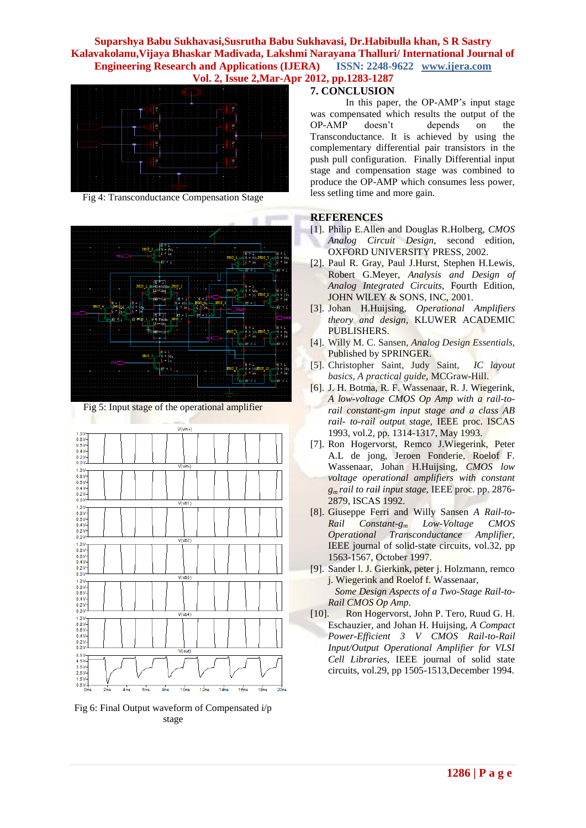

Fig 4: Transconductance Compensation Stage



Fig 5: Input stage of the operational amplifier



Fig 6: Final Output waveform of Compensated i/p stage

### **7. CONCLUSION**

In this paper, the OP-AMP's input stage was compensated which results the output of the OP-AMP doesn't depends on the Transconductance. It is achieved by using the complementary differential pair transistors in the push pull configuration. Finally Differential input stage and compensation stage was combined to produce the OP-AMP which consumes less power, less setling time and more gain.

### **REFERENCES**

- [1]. Philip E.Allen and Douglas R.Holberg, *CMOS Analog Circuit Design*, second edition, OXFORD UNIVERSITY PRESS, 2002.
- [2]. Paul R. Gray, Paul J.Hurst, Stephen H.Lewis, Robert G.Meyer, *Analysis and Design of Analog Integrated Circuits*, Fourth Edition, JOHN WILEY & SONS, INC, 2001.
- [3]. Johan H.Huijsing, *Operational Amplifiers theory and design,* KLUWER ACADEMIC PUBLISHERS.
- [4]. Willy M. C. Sansen, *Analog Design Essentials,*  Published by SPRINGER.
- [5]. Christopher Saint, Judy Saint, *IC layout basics, A practical guide,* MCGraw-Hill.
- [6]. J. H. Botma, R. F. Wassenaar, R. J. Wiegerink, *A low-voltage CMOS Op Amp with a rail-torail constant-gm input stage and a class AB rail- to-rail output stage,* IEEE proc. ISCAS 1993, vol.2, pp. 1314-1317, May 1993.
- [7]. Ron Hogervorst, Remco J.Wiegerink, Peter A.L de jong, Jeroen Fonderie, Roelof F. Wassenaar, Johan H.Huijsing, *CMOS low voltage operational amplifiers with constant gm rail to rail input stage,* IEEE proc. pp. 2876- 2879, ISCAS 1992.
- [8]. Giuseppe Ferri and Willy Sansen *A Rail-to-Rail Constant-g<sup>m</sup> Low-Voltage CMOS Operational Transconductance Amplifier,*  IEEE journal of solid-state circuits, vol.32, pp 1563-1567, October 1997.
- [9]. Sander l. J. Gierkink, peter j. Holzmann, remco j. Wiegerink and Roelof f. Wassenaar,  *Some Design Aspects of a Two-Stage Rail-to-Rail CMOS Op Amp.*
- [10]. Ron Hogervorst, John P. Tero, Ruud G. H. Eschauzier, and Johan H. Huijsing, *A Compact Power-Efficient 3 V CMOS Rail-to-Rail Input/Output Operational Amplifier for VLSI Cell Libraries,* IEEE journal of solid state circuits, vol.29, pp 1505-1513,December 1994.